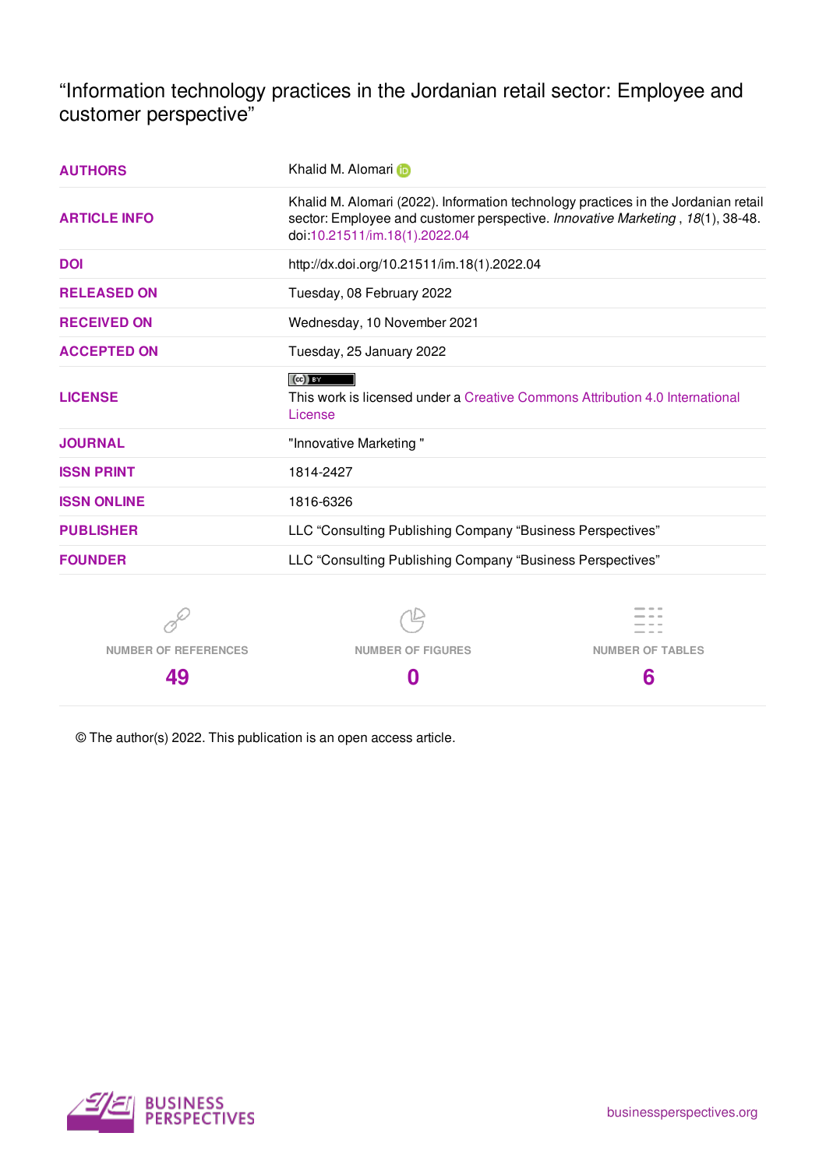"Information technology practices in the Jordanian retail sector: Employee and customer perspective"

| <b>AUTHORS</b>              | Khalid M. Alomari in                                                                                                                                                                                  |                         |  |  |
|-----------------------------|-------------------------------------------------------------------------------------------------------------------------------------------------------------------------------------------------------|-------------------------|--|--|
| <b>ARTICLE INFO</b>         | Khalid M. Alomari (2022). Information technology practices in the Jordanian retail<br>sector: Employee and customer perspective. Innovative Marketing, 18(1), 38-48.<br>doi:10.21511/im.18(1).2022.04 |                         |  |  |
| <b>DOI</b>                  | http://dx.doi.org/10.21511/im.18(1).2022.04                                                                                                                                                           |                         |  |  |
| <b>RELEASED ON</b>          | Tuesday, 08 February 2022                                                                                                                                                                             |                         |  |  |
| <b>RECEIVED ON</b>          | Wednesday, 10 November 2021                                                                                                                                                                           |                         |  |  |
| <b>ACCEPTED ON</b>          | Tuesday, 25 January 2022                                                                                                                                                                              |                         |  |  |
| <b>LICENSE</b>              | $(cc)$ BY<br>This work is licensed under a Creative Commons Attribution 4.0 International<br>License                                                                                                  |                         |  |  |
| <b>JOURNAL</b>              | "Innovative Marketing"                                                                                                                                                                                |                         |  |  |
| <b>ISSN PRINT</b>           | 1814-2427                                                                                                                                                                                             |                         |  |  |
| <b>ISSN ONLINE</b>          | 1816-6326                                                                                                                                                                                             |                         |  |  |
| <b>PUBLISHER</b>            | LLC "Consulting Publishing Company "Business Perspectives"                                                                                                                                            |                         |  |  |
| <b>FOUNDER</b>              | LLC "Consulting Publishing Company "Business Perspectives"                                                                                                                                            |                         |  |  |
|                             |                                                                                                                                                                                                       |                         |  |  |
| <b>NUMBER OF REFERENCES</b> | <b>NUMBER OF FIGURES</b>                                                                                                                                                                              | <b>NUMBER OF TABLES</b> |  |  |
| 49                          | 0                                                                                                                                                                                                     | 6                       |  |  |

© The author(s) 2022. This publication is an open access article.

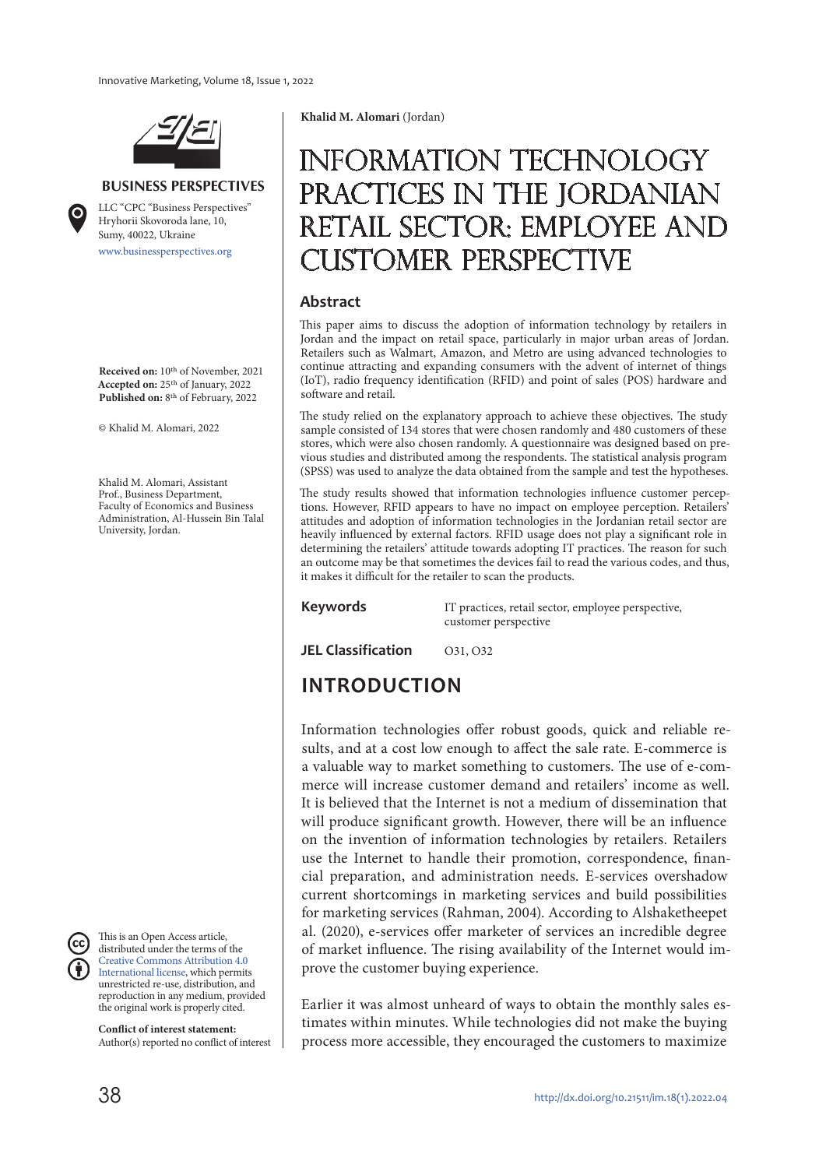

#### **BUSINESS PERSPECTIVES**

www.businessperspectives.org LLC "СPС "Business Perspectives" Hryhorii Skovoroda lane, 10, Sumy, 40022, Ukraine

**Received on:** 10th of November, 2021 **Accepted on:** 25th of January, 2022 **Published on:** 8th of February, 2022

© Khalid M. Alomari, 2022

Khalid M. Alomari, Assistant Prof., Business Department, Faculty of Economics and Business Administration, Al-Hussein Bin Talal University, Jordan.

This is an Open Access article, distributed under the terms of the Creative Commons Attribution 4.0 International license, which permits unrestricted re-use, distribution, and reproduction in any medium, provided the original work is properly cited.

**Conflict of interest statement:**  Author(s) reported no conflict of interest **Khalid M. Alomari** (Jordan)

# Information technology practices in the Jordanian retail sector: Employee and customer perspective

#### **Abstract**

This paper aims to discuss the adoption of information technology by retailers in Jordan and the impact on retail space, particularly in major urban areas of Jordan. Retailers such as Walmart, Amazon, and Metro are using advanced technologies to continue attracting and expanding consumers with the advent of internet of things (IoT), radio frequency identification (RFID) and point of sales (POS) hardware and software and retail.

The study relied on the explanatory approach to achieve these objectives. The study sample consisted of 134 stores that were chosen randomly and 480 customers of these stores, which were also chosen randomly. A questionnaire was designed based on previous studies and distributed among the respondents. The statistical analysis program (SPSS) was used to analyze the data obtained from the sample and test the hypotheses.

The study results showed that information technologies influence customer perceptions. However, RFID appears to have no impact on employee perception. Retailers' attitudes and adoption of information technologies in the Jordanian retail sector are heavily influenced by external factors. RFID usage does not play a significant role in determining the retailers' attitude towards adopting IT practices. The reason for such an outcome may be that sometimes the devices fail to read the various codes, and thus, it makes it difficult for the retailer to scan the products.

**Keywords** IT practices, retail sector, employee perspective, customer perspective

**JEL Classification** 031, 032

# **INTRODUCTION**

Information technologies offer robust goods, quick and reliable results, and at a cost low enough to affect the sale rate. E-commerce is a valuable way to market something to customers. The use of e-commerce will increase customer demand and retailers' income as well. It is believed that the Internet is not a medium of dissemination that will produce significant growth. However, there will be an influence on the invention of information technologies by retailers. Retailers use the Internet to handle their promotion, correspondence, financial preparation, and administration needs. E-services overshadow current shortcomings in marketing services and build possibilities for marketing services (Rahman, 2004). According to Alshaketheepet al. (2020), e-services offer marketer of services an incredible degree of market influence. The rising availability of the Internet would improve the customer buying experience.

Earlier it was almost unheard of ways to obtain the monthly sales estimates within minutes. While technologies did not make the buying process more accessible, they encouraged the customers to maximize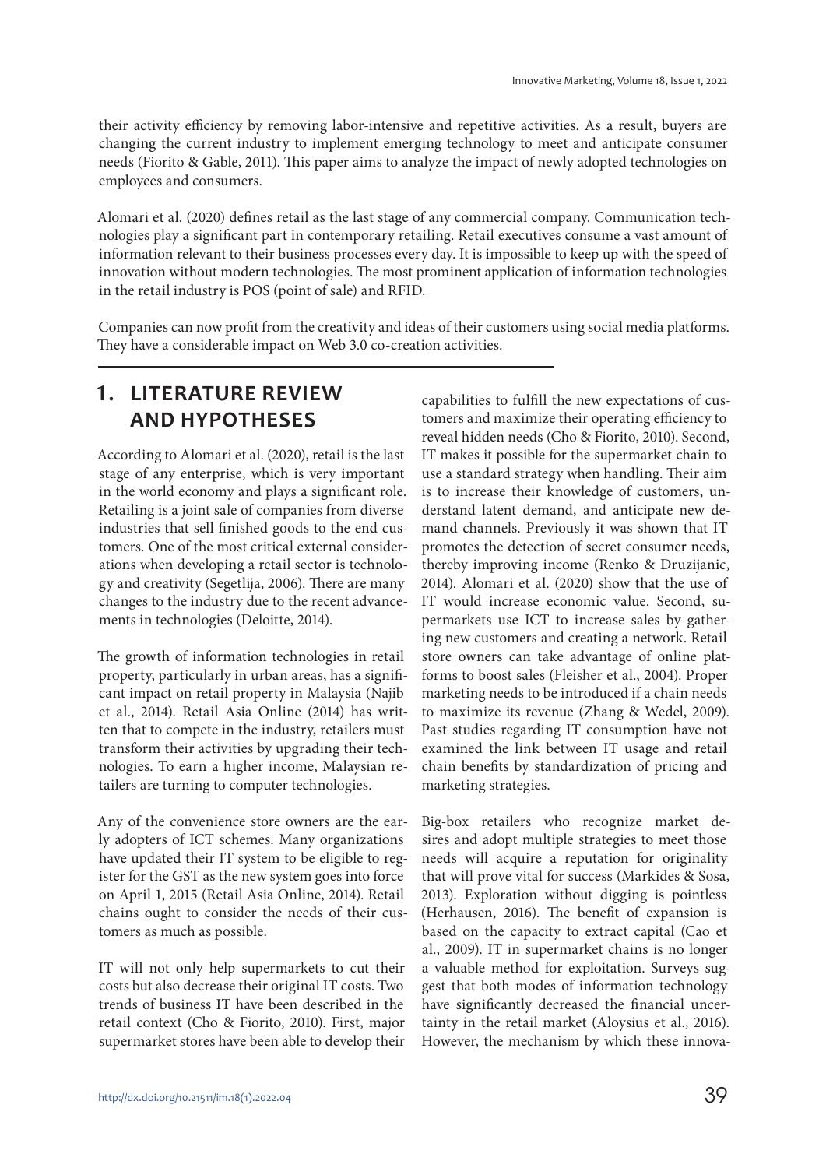their activity efficiency by removing labor-intensive and repetitive activities. As a result, buyers are changing the current industry to implement emerging technology to meet and anticipate consumer needs (Fiorito & Gable, 2011). This paper aims to analyze the impact of newly adopted technologies on employees and consumers.

Alomari et al. (2020) defines retail as the last stage of any commercial company. Communication technologies play a significant part in contemporary retailing. Retail executives consume a vast amount of information relevant to their business processes every day. It is impossible to keep up with the speed of innovation without modern technologies. The most prominent application of information technologies in the retail industry is POS (point of sale) and RFID.

Companies can now profit from the creativity and ideas of their customers using social media platforms. They have a considerable impact on Web 3.0 co-creation activities.

## **1. LITERATURE REVIEW AND HYPOTHESES**

According to Alomari et al. (2020), retail is the last stage of any enterprise, which is very important in the world economy and plays a significant role. Retailing is a joint sale of companies from diverse industries that sell finished goods to the end customers. One of the most critical external considerations when developing a retail sector is technology and creativity (Segetlija, 2006). There are many changes to the industry due to the recent advancements in technologies (Deloitte, 2014).

The growth of information technologies in retail property, particularly in urban areas, has a significant impact on retail property in Malaysia (Najib et al., 2014). Retail Asia Online (2014) has written that to compete in the industry, retailers must transform their activities by upgrading their technologies. To earn a higher income, Malaysian retailers are turning to computer technologies.

Any of the convenience store owners are the early adopters of ICT schemes. Many organizations have updated their IT system to be eligible to register for the GST as the new system goes into force on April 1, 2015 (Retail Asia Online, 2014). Retail chains ought to consider the needs of their customers as much as possible.

IT will not only help supermarkets to cut their costs but also decrease their original IT costs. Two trends of business IT have been described in the retail context (Cho & Fiorito, 2010). First, major supermarket stores have been able to develop their capabilities to fulfill the new expectations of customers and maximize their operating efficiency to reveal hidden needs (Cho & Fiorito, 2010). Second, IT makes it possible for the supermarket chain to use a standard strategy when handling. Their aim is to increase their knowledge of customers, understand latent demand, and anticipate new demand channels. Previously it was shown that IT promotes the detection of secret consumer needs, thereby improving income (Renko & Druzijanic, 2014). Alomari et al. (2020) show that the use of IT would increase economic value. Second, supermarkets use ICT to increase sales by gathering new customers and creating a network. Retail store owners can take advantage of online platforms to boost sales (Fleisher et al., 2004). Proper marketing needs to be introduced if a chain needs to maximize its revenue (Zhang & Wedel, 2009). Past studies regarding IT consumption have not examined the link between IT usage and retail chain benefits by standardization of pricing and marketing strategies.

Big-box retailers who recognize market desires and adopt multiple strategies to meet those needs will acquire a reputation for originality that will prove vital for success (Markides & Sosa, 2013). Exploration without digging is pointless (Herhausen, 2016). The benefit of expansion is based on the capacity to extract capital (Cao et al., 2009). IT in supermarket chains is no longer a valuable method for exploitation. Surveys suggest that both modes of information technology have significantly decreased the financial uncertainty in the retail market (Aloysius et al., 2016). However, the mechanism by which these innova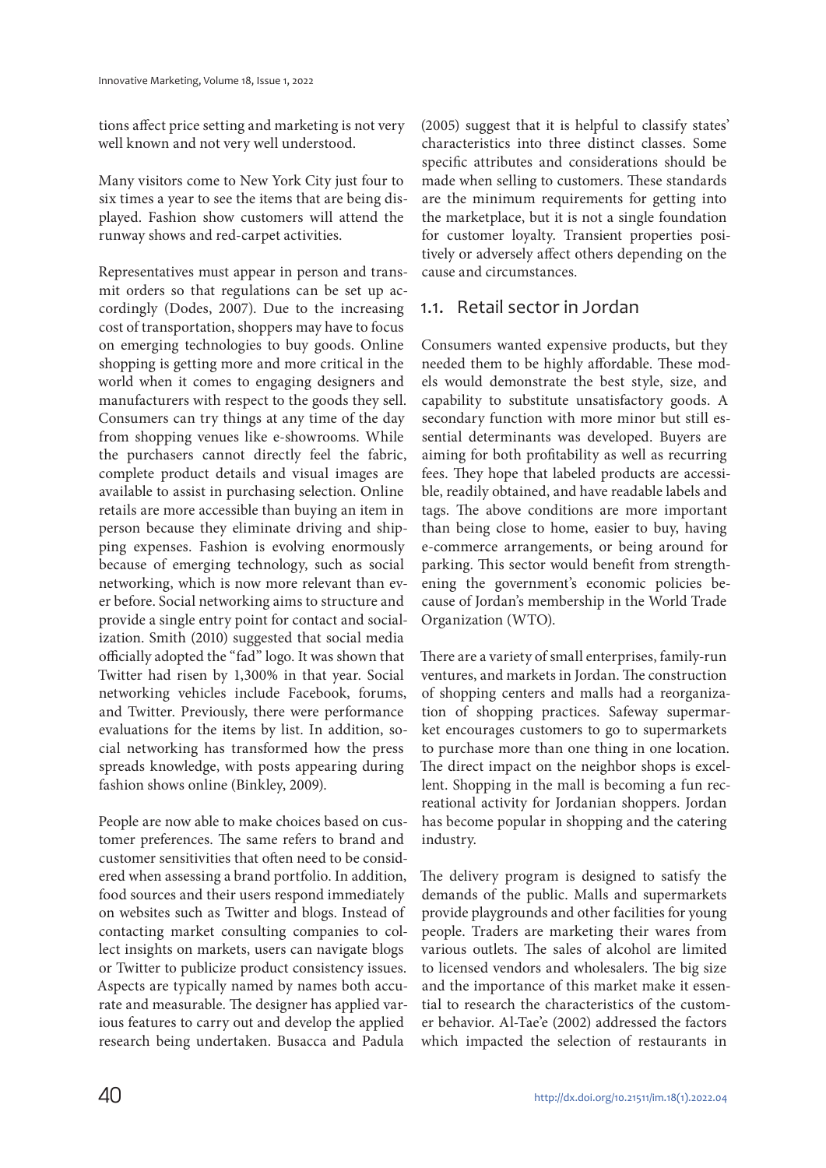tions affect price setting and marketing is not very well known and not very well understood.

Many visitors come to New York City just four to six times a year to see the items that are being displayed. Fashion show customers will attend the runway shows and red-carpet activities.

Representatives must appear in person and transmit orders so that regulations can be set up accordingly (Dodes, 2007). Due to the increasing cost of transportation, shoppers may have to focus on emerging technologies to buy goods. Online shopping is getting more and more critical in the world when it comes to engaging designers and manufacturers with respect to the goods they sell. Consumers can try things at any time of the day from shopping venues like e-showrooms. While the purchasers cannot directly feel the fabric, complete product details and visual images are available to assist in purchasing selection. Online retails are more accessible than buying an item in person because they eliminate driving and shipping expenses. Fashion is evolving enormously because of emerging technology, such as social networking, which is now more relevant than ever before. Social networking aims to structure and provide a single entry point for contact and socialization. Smith (2010) suggested that social media officially adopted the "fad" logo. It was shown that Twitter had risen by 1,300% in that year. Social networking vehicles include Facebook, forums, and Twitter. Previously, there were performance evaluations for the items by list. In addition, social networking has transformed how the press spreads knowledge, with posts appearing during fashion shows online (Binkley, 2009).

People are now able to make choices based on customer preferences. The same refers to brand and customer sensitivities that often need to be considered when assessing a brand portfolio. In addition, food sources and their users respond immediately on websites such as Twitter and blogs. Instead of contacting market consulting companies to collect insights on markets, users can navigate blogs or Twitter to publicize product consistency issues. Aspects are typically named by names both accurate and measurable. The designer has applied various features to carry out and develop the applied research being undertaken. Busacca and Padula

(2005) suggest that it is helpful to classify states' characteristics into three distinct classes. Some specific attributes and considerations should be made when selling to customers. These standards are the minimum requirements for getting into the marketplace, but it is not a single foundation for customer loyalty. Transient properties positively or adversely affect others depending on the cause and circumstances.

## 1.1. Retail sector in Jordan

Consumers wanted expensive products, but they needed them to be highly affordable. These models would demonstrate the best style, size, and capability to substitute unsatisfactory goods. A secondary function with more minor but still essential determinants was developed. Buyers are aiming for both profitability as well as recurring fees. They hope that labeled products are accessible, readily obtained, and have readable labels and tags. The above conditions are more important than being close to home, easier to buy, having e-commerce arrangements, or being around for parking. This sector would benefit from strengthening the government's economic policies because of Jordan's membership in the World Trade Organization (WTO).

There are a variety of small enterprises, family-run ventures, and markets in Jordan. The construction of shopping centers and malls had a reorganization of shopping practices. Safeway supermarket encourages customers to go to supermarkets to purchase more than one thing in one location. The direct impact on the neighbor shops is excellent. Shopping in the mall is becoming a fun recreational activity for Jordanian shoppers. Jordan has become popular in shopping and the catering industry.

The delivery program is designed to satisfy the demands of the public. Malls and supermarkets provide playgrounds and other facilities for young people. Traders are marketing their wares from various outlets. The sales of alcohol are limited to licensed vendors and wholesalers. The big size and the importance of this market make it essential to research the characteristics of the customer behavior. Al-Tae'e (2002) addressed the factors which impacted the selection of restaurants in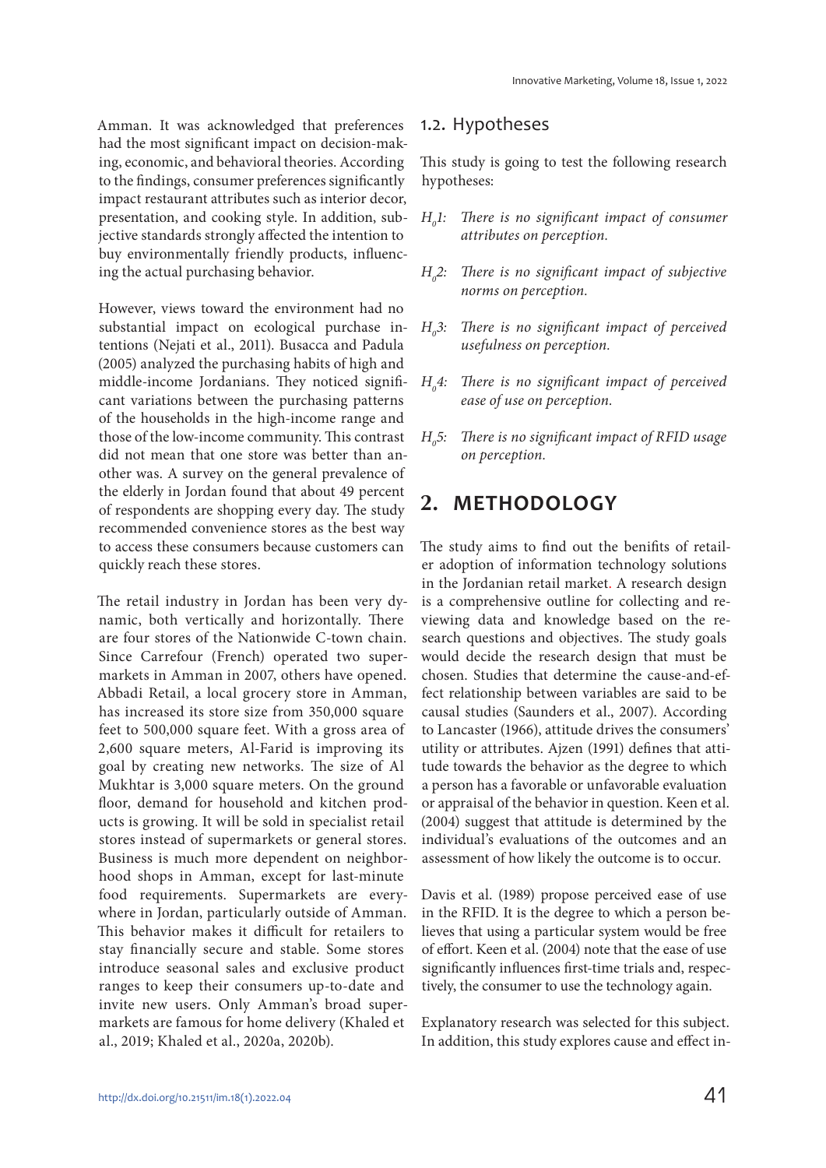Amman. It was acknowledged that preferences had the most significant impact on decision-making, economic, and behavioral theories. According to the findings, consumer preferences significantly impact restaurant attributes such as interior decor, presentation, and cooking style. In addition, subjective standards strongly affected the intention to buy environmentally friendly products, influencing the actual purchasing behavior.

However, views toward the environment had no substantial impact on ecological purchase intentions (Nejati et al., 2011). Busacca and Padula (2005) analyzed the purchasing habits of high and middle-income Jordanians. They noticed significant variations between the purchasing patterns of the households in the high-income range and those of the low-income community. This contrast did not mean that one store was better than another was. A survey on the general prevalence of the elderly in Jordan found that about 49 percent of respondents are shopping every day. The study recommended convenience stores as the best way to access these consumers because customers can quickly reach these stores.

The retail industry in Jordan has been very dynamic, both vertically and horizontally. There are four stores of the Nationwide C-town chain. Since Carrefour (French) operated two supermarkets in Amman in 2007, others have opened. Abbadi Retail, a local grocery store in Amman, has increased its store size from 350,000 square feet to 500,000 square feet. With a gross area of 2,600 square meters, Al-Farid is improving its goal by creating new networks. The size of Al Mukhtar is 3,000 square meters. On the ground floor, demand for household and kitchen products is growing. It will be sold in specialist retail stores instead of supermarkets or general stores. Business is much more dependent on neighborhood shops in Amman, except for last-minute food requirements. Supermarkets are everywhere in Jordan, particularly outside of Amman. This behavior makes it difficult for retailers to stay financially secure and stable. Some stores introduce seasonal sales and exclusive product ranges to keep their consumers up-to-date and invite new users. Only Amman's broad supermarkets are famous for home delivery (Khaled et al., 2019; Khaled et al., 2020a, 2020b).

### 1.2. Hypotheses

This study is going to test the following research hypotheses:

- $H<sub>a</sub>$ l: There is no significant impact of consumer attributes on perception.
- $H<sub>a</sub>2$ : There is no significant impact of subjective norms on perception.
- $H<sub>o</sub>3$ : There is no significant impact of perceived usefulness on perception.
- $H_{\circ}4$ : There is no significant impact of perceived ease of use on perception.
- $H<sub>o</sub>5$ : There is no significant impact of RFID usage on perception.

## **2. METHODOLOGY**

The study aims to find out the benifits of retailer adoption of information technology solutions in the Jordanian retail market. A research design is a comprehensive outline for collecting and reviewing data and knowledge based on the research questions and objectives. The study goals would decide the research design that must be chosen. Studies that determine the cause-and-effect relationship between variables are said to be causal studies (Saunders et al., 2007). According to Lancaster (1966), attitude drives the consumers' utility or attributes. Ajzen (1991) defines that attitude towards the behavior as the degree to which a person has a favorable or unfavorable evaluation or appraisal of the behavior in question. Keen et al. (2004) suggest that attitude is determined by the individual's evaluations of the outcomes and an assessment of how likely the outcome is to occur.

Davis et al. (1989) propose perceived ease of use in the RFID. It is the degree to which a person believes that using a particular system would be free of effort. Keen et al. (2004) note that the ease of use significantly influences first-time trials and, respectively, the consumer to use the technology again.

Explanatory research was selected for this subject. In addition, this study explores cause and effect in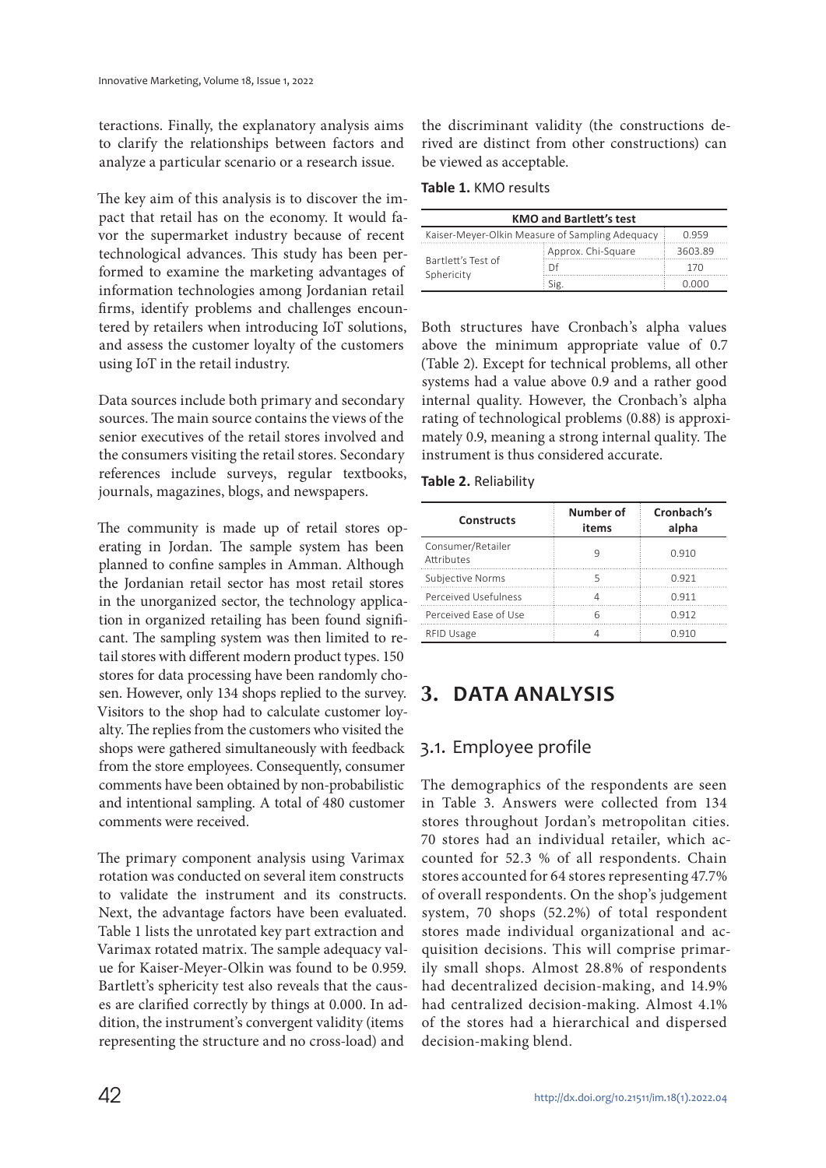teractions. Finally, the explanatory analysis aims to clarify the relationships between factors and analyze a particular scenario or a research issue.

The key aim of this analysis is to discover the impact that retail has on the economy. It would favor the supermarket industry because of recent technological advances. This study has been performed to examine the marketing advantages of information technologies among Jordanian retail firms, identify problems and challenges encountered by retailers when introducing IoT solutions, and assess the customer loyalty of the customers using IoT in the retail industry.

Data sources include both primary and secondary sources. The main source contains the views of the senior executives of the retail stores involved and the consumers visiting the retail stores. Secondary references include surveys, regular textbooks, journals, magazines, blogs, and newspapers.

The community is made up of retail stores operating in Jordan. The sample system has been planned to confine samples in Amman. Although the Jordanian retail sector has most retail stores in the unorganized sector, the technology application in organized retailing has been found significant. The sampling system was then limited to retail stores with different modern product types. 150 stores for data processing have been randomly chosen. However, only 134 shops replied to the survey. Visitors to the shop had to calculate customer loyalty. The replies from the customers who visited the shops were gathered simultaneously with feedback from the store employees. Consequently, consumer comments have been obtained by non-probabilistic and intentional sampling. A total of 480 customer comments were received.

The primary component analysis using Varimax rotation was conducted on several item constructs to validate the instrument and its constructs. Next, the advantage factors have been evaluated. Table 1 lists the unrotated key part extraction and Varimax rotated matrix. The sample adequacy value for Kaiser-Meyer-Olkin was found to be 0.959. Bartlett's sphericity test also reveals that the causes are clarified correctly by things at 0.000. In addition, the instrument's convergent validity (items representing the structure and no cross-load) and

the discriminant validity (the constructions derived are distinct from other constructions) can be viewed as acceptable.

**Table 1.** KMO results

| <b>KMO and Bartlett's test</b>                           |                      |         |  |  |
|----------------------------------------------------------|----------------------|---------|--|--|
| Kaiser-Meyer-Olkin Measure of Sampling Adequacy<br>O 959 |                      |         |  |  |
| Bartlett's Test of<br>Sphericity                         | : Approx. Chi-Square | 3603.89 |  |  |
|                                                          | . Df                 | 170     |  |  |
|                                                          | Sig                  |         |  |  |

Both structures have Cronbach's alpha values above the minimum appropriate value of 0.7 (Table 2). Except for technical problems, all other systems had a value above 0.9 and a rather good internal quality. However, the Cronbach's alpha rating of technological problems (0.88) is approximately 0.9, meaning a strong internal quality. The instrument is thus considered accurate.

| Table 2. Reliability |  |  |  |  |  |  |
|----------------------|--|--|--|--|--|--|
|----------------------|--|--|--|--|--|--|

| <b>Constructs</b>               | Number of<br>items | Cronbach's<br>alpha |  |
|---------------------------------|--------------------|---------------------|--|
| Consumer/Retailer<br>Attributes | q                  | 0.910               |  |
| Subjective Norms                | 5                  | O 921               |  |
| Perceived Usefulness            |                    | O 911               |  |
| Perceived Ease of Use           | 6                  | 0.912               |  |
| <b>RFID Usage</b>               |                    | <u>በ 91በ</u>        |  |

# **3. DATA ANALYSIS**

## 3.1. Employee profile

The demographics of the respondents are seen in Table 3. Answers were collected from 134 stores throughout Jordan's metropolitan cities. 70 stores had an individual retailer, which accounted for 52.3 % of all respondents. Chain stores accounted for 64 stores representing 47.7% of overall respondents. On the shop's judgement system, 70 shops (52.2%) of total respondent stores made individual organizational and acquisition decisions. This will comprise primarily small shops. Almost 28.8% of respondents had decentralized decision-making, and 14.9% had centralized decision-making. Almost 4.1% of the stores had a hierarchical and dispersed decision-making blend.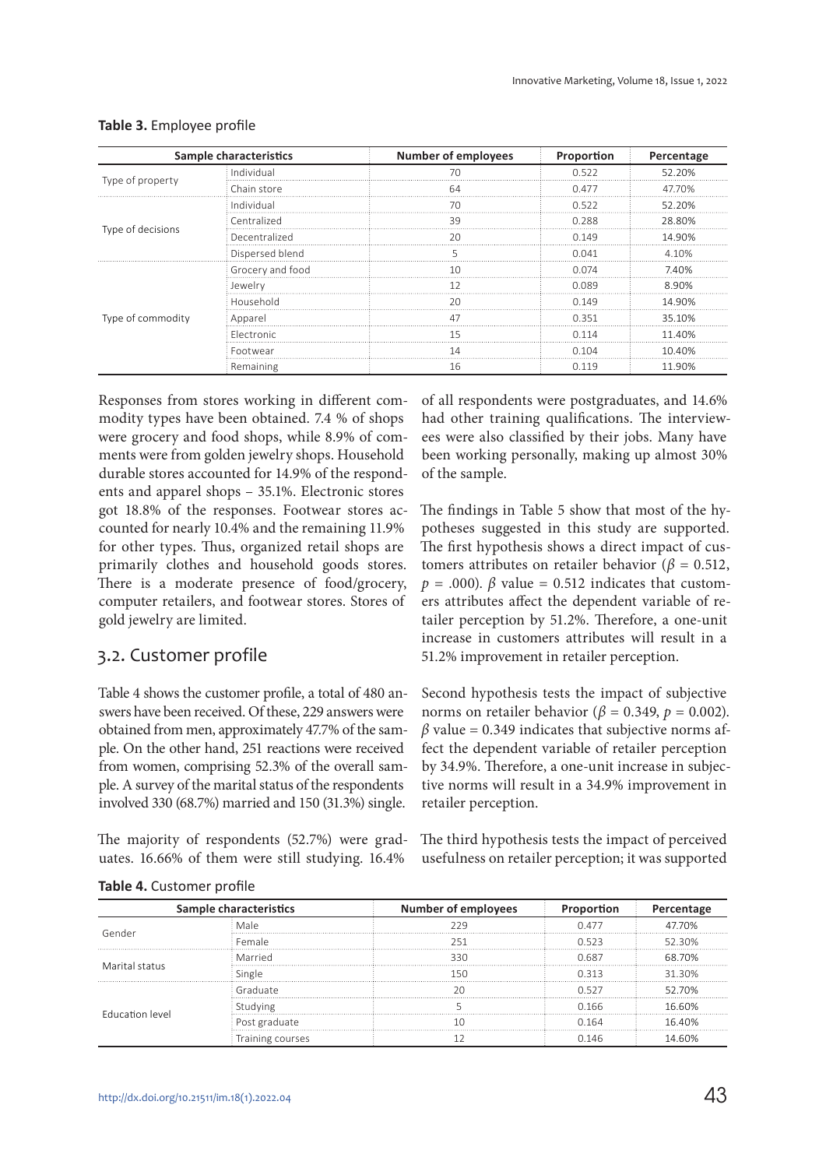|                   | Sample characteristics | <b>Number of employees</b> | Proportion | Percentage |
|-------------------|------------------------|----------------------------|------------|------------|
|                   | Individual             |                            | 0.522      | 52.20%     |
| Type of property  | Chain store            | 64                         | በ 477      | 47.70%     |
|                   | Individual             | 7Λ                         | N 522      | 52 20%     |
|                   | Centralized            | 39                         | 0.288      | 28.80%     |
| Type of decisions | Decentralized          | 20                         | በ 149      | 14 90%     |
|                   | Dispersed blend        |                            | 0 041      | 10%        |
|                   | Grocery and food       | 10                         | 0.074      | 7.40%      |
|                   | Jewelry                |                            | 0 089      | 8.90%      |
|                   | Household              | ንበ                         | በ 149      | 14.90%     |
| Type of commodity | Apparel                |                            | O 351      | 35.10%     |
|                   | <b>Electronic</b>      |                            | N 114      | 11 40%     |
|                   | Footwear               |                            | N 1N 4     | 10 40%     |
|                   | Remaining              | 16                         | 0 1 1 9    | 11.90%     |

#### **Table 3.** Employee profile

Responses from stores working in different commodity types have been obtained. 7.4 % of shops were grocery and food shops, while 8.9% of comments were from golden jewelry shops. Household durable stores accounted for 14.9% of the respondents and apparel shops – 35.1%. Electronic stores got 18.8% of the responses. Footwear stores accounted for nearly 10.4% and the remaining 11.9% for other types. Thus, organized retail shops are primarily clothes and household goods stores. There is a moderate presence of food/grocery, computer retailers, and footwear stores. Stores of gold jewelry are limited.

## 3.2. Customer profile

Table 4 shows the customer profile, a total of 480 answers have been received. Of these, 229 answers were obtained from men, approximately 47.7% of the sample. On the other hand, 251 reactions were received from women, comprising 52.3% of the overall sample. A survey of the marital status of the respondents involved 330 (68.7%) married and 150 (31.3%) single.

The majority of respondents (52.7%) were graduates. 16.66% of them were still studying. 16.4%

of all respondents were postgraduates, and 14.6% had other training qualifications. The interviewees were also classified by their jobs. Many have been working personally, making up almost 30% of the sample.

The findings in Table 5 show that most of the hypotheses suggested in this study are supported. The first hypothesis shows a direct impact of customers attributes on retailer behavior ( $\beta = 0.512$ ,  $p = .000$ .  $\beta$  value = 0.512 indicates that customers attributes affect the dependent variable of retailer perception by 51.2%. Therefore, a one-unit increase in customers attributes will result in a 51.2% improvement in retailer perception.

Second hypothesis tests the impact of subjective norms on retailer behavior ( $\beta = 0.349$ ,  $p = 0.002$ ).  $\beta$  value = 0.349 indicates that subjective norms affect the dependent variable of retailer perception by 34.9%. Therefore, a one-unit increase in subjective norms will result in a 34.9% improvement in retailer perception.

The third hypothesis tests the impact of perceived usefulness on retailer perception; it was supported

|                        | Sample characteristics | Number of employees | Proportion | Percentage |
|------------------------|------------------------|---------------------|------------|------------|
|                        |                        |                     | 0.477      | 770%       |
| Gender                 | Female                 |                     | 0.523      | 52 30%     |
| Marital status         | Married                | ろろひ                 | 0.687      | 68 70%     |
|                        | Single                 | 1 5 C               | 0.313      | 31 30%     |
| <b>Education level</b> | Graduate               |                     | O 527      | 52.70%     |
|                        | enidvin.               |                     | 0.166      | 16.60%     |
|                        | Post graduate          |                     | 0.164      | 16 40%     |
|                        | Training courses       |                     | 0.146      |            |

**Table 4.** Customer profile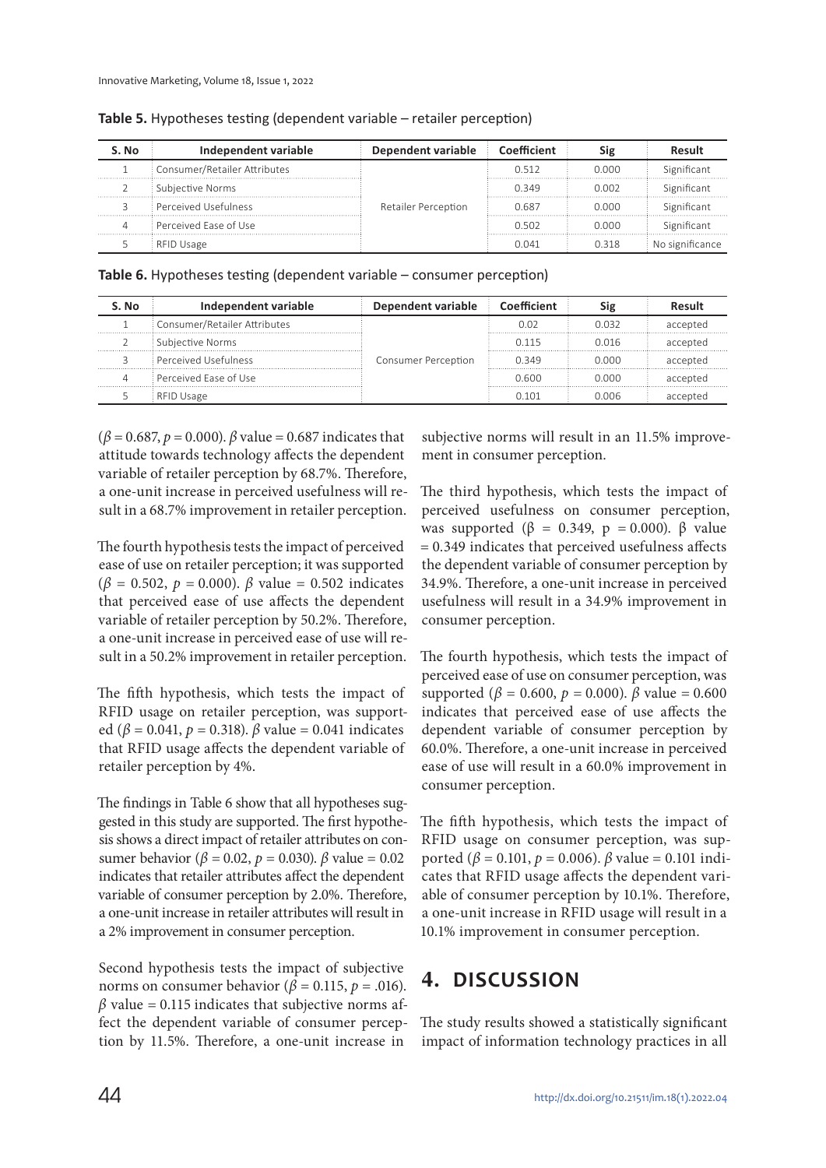| S. No | Independent variable         | Dependent variable  | Coefficient | Sig   | Result          |
|-------|------------------------------|---------------------|-------------|-------|-----------------|
|       | Consumer/Retailer Attributes | Retailer Perception | በ 512       | n nnn | Significant     |
|       | Subjective Norms             |                     | 0 349       | 0.002 | Significant     |
|       | Perceived Usefulness         |                     | 0 687       | n nnn | Significant     |
|       | Perceived Ease of Use        |                     | 0.502       | n nnn | Significant     |
|       | RFID Usage                   |                     |             | 0 318 | No significance |

**Table 5.** Hypotheses testing (dependent variable – retailer perception)

**Table 6.** Hypotheses testing (dependent variable – consumer perception)

| . No | Independent variable         | Dependent variable         | Coefficient |       |          |
|------|------------------------------|----------------------------|-------------|-------|----------|
|      | Consumer/Retailer Attributes | <b>Consumer Perception</b> | D ( ) 2     | በ በ32 | accepted |
|      | Subjective Norms             |                            | 0.115       | 0.016 | accepted |
|      | Perceived Usefulness         |                            | 0349        | ი იიი | accepted |
|      | Perceived Fase of Use        |                            | N 600       | n nnn | accepted |
|      | RFID Usage                   |                            |             | nng   | accenter |

 $(β = 0.687, p = 0.000)$ . β value = 0.687 indicates that attitude towards technology affects the dependent variable of retailer perception by 68.7%. Therefore, a one-unit increase in perceived usefulness will result in a 68.7% improvement in retailer perception.

The fourth hypothesis tests the impact of perceived ease of use on retailer perception; it was supported  $(β = 0.502, p = 0.000)$ . β value = 0.502 indicates that perceived ease of use affects the dependent variable of retailer perception by 50.2%. Therefore, a one-unit increase in perceived ease of use will result in a 50.2% improvement in retailer perception.

The fifth hypothesis, which tests the impact of RFID usage on retailer perception, was supported ( $\beta$  = 0.041,  $p$  = 0.318).  $\beta$  value = 0.041 indicates that RFID usage affects the dependent variable of retailer perception by 4%.

The findings in Table 6 show that all hypotheses suggested in this study are supported. The first hypothesis shows a direct impact of retailer attributes on consumer behavior ( $\beta$  = 0.02,  $p$  = 0.030).  $\beta$  value = 0.02 indicates that retailer attributes affect the dependent variable of consumer perception by 2.0%. Therefore, a one-unit increase in retailer attributes will result in a 2% improvement in consumer perception.

Second hypothesis tests the impact of subjective norms on consumer behavior ( $\beta$  = 0.115,  $p$  = .016).  $\beta$  value = 0.115 indicates that subjective norms affect the dependent variable of consumer perception by 11.5%. Therefore, a one-unit increase in

subjective norms will result in an 11.5% improvement in consumer perception.

The third hypothesis, which tests the impact of perceived usefulness on consumer perception, was supported ( $\beta = 0.349$ ,  $p = 0.000$ ).  $\beta$  value = 0.349 indicates that perceived usefulness affects the dependent variable of consumer perception by 34.9%. Therefore, a one-unit increase in perceived usefulness will result in a 34.9% improvement in consumer perception.

The fourth hypothesis, which tests the impact of perceived ease of use on consumer perception, was supported ( $β = 0.600, p = 0.000$ ).  $β$  value = 0.600 indicates that perceived ease of use affects the dependent variable of consumer perception by 60.0%. Therefore, a one-unit increase in perceived ease of use will result in a 60.0% improvement in consumer perception.

The fifth hypothesis, which tests the impact of RFID usage on consumer perception, was supported (β = 0.101, p = 0.006). β value = 0.101 indicates that RFID usage affects the dependent variable of consumer perception by 10.1%. Therefore, a one-unit increase in RFID usage will result in a 10.1% improvement in consumer perception.

# **4. DISCUSSION**

The study results showed a statistically significant impact of information technology practices in all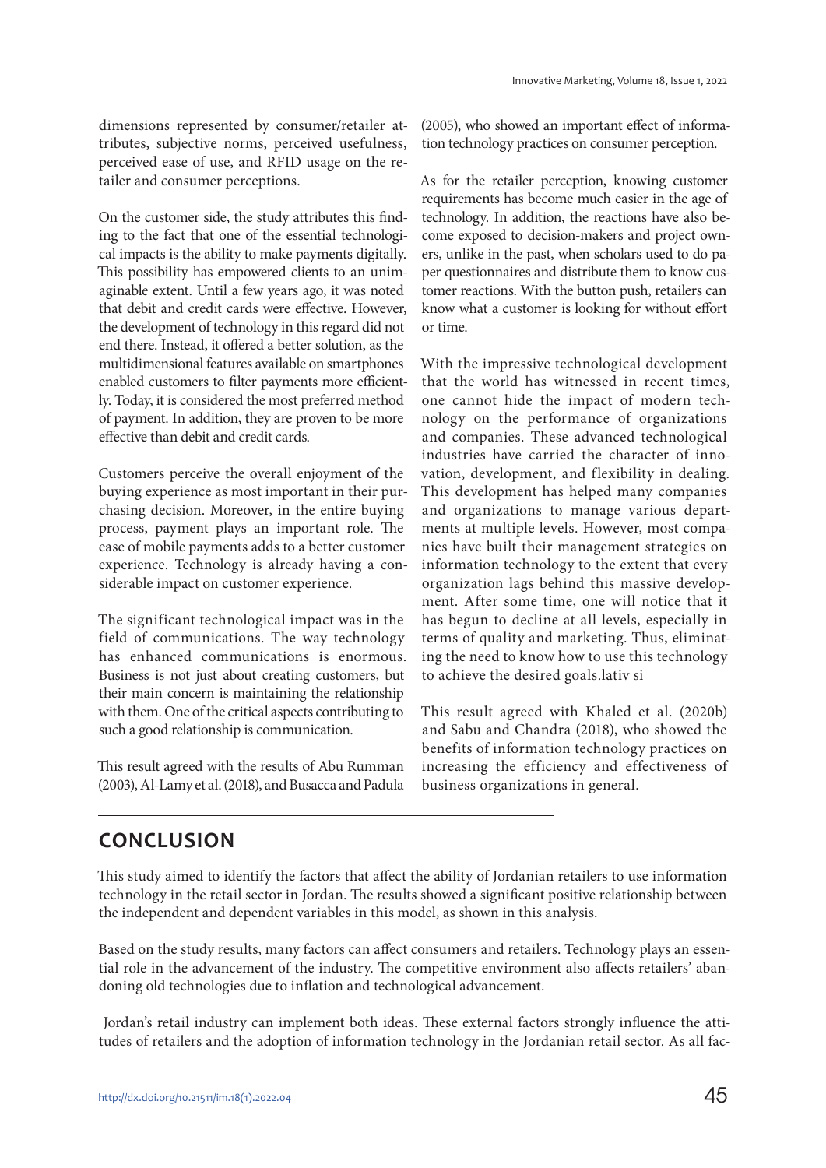dimensions represented by consumer/retailer attributes, subjective norms, perceived usefulness, perceived ease of use, and RFID usage on the retailer and consumer perceptions.

On the customer side, the study attributes this finding to the fact that one of the essential technological impacts is the ability to make payments digitally. This possibility has empowered clients to an unimaginable extent. Until a few years ago, it was noted that debit and credit cards were effective. However, the development of technology in this regard did not end there. Instead, it offered a better solution, as the multidimensional features available on smartphones enabled customers to filter payments more efficiently. Today, it is considered the most preferred method of payment. In addition, they are proven to be more effective than debit and credit cards.

Customers perceive the overall enjoyment of the buying experience as most important in their purchasing decision. Moreover, in the entire buying process, payment plays an important role. The ease of mobile payments adds to a better customer experience. Technology is already having a considerable impact on customer experience.

The significant technological impact was in the field of communications. The way technology has enhanced communications is enormous. Business is not just about creating customers, but their main concern is maintaining the relationship with them. One of the critical aspects contributing to such a good relationship is communication.

This result agreed with the results of Abu Rumman (2003), Al-Lamy et al. (2018), and Busacca and Padula (2005), who showed an important effect of information technology practices on consumer perception.

As for the retailer perception, knowing customer requirements has become much easier in the age of technology. In addition, the reactions have also become exposed to decision-makers and project owners, unlike in the past, when scholars used to do paper questionnaires and distribute them to know customer reactions. With the button push, retailers can know what a customer is looking for without effort or time.

With the impressive technological development that the world has witnessed in recent times, one cannot hide the impact of modern technology on the performance of organizations and companies. These advanced technological industries have carried the character of innovation, development, and flexibility in dealing. This development has helped many companies and organizations to manage various departments at multiple levels. However, most companies have built their management strategies on information technology to the extent that every organization lags behind this massive development. After some time, one will notice that it has begun to decline at all levels, especially in terms of quality and marketing. Thus, eliminating the need to know how to use this technology to achieve the desired goals.lativ si

This result agreed with Khaled et al. (2020b) and Sabu and Chandra (2018), who showed the benefits of information technology practices on increasing the efficiency and effectiveness of business organizations in general.

## **CONCLUSION**

This study aimed to identify the factors that affect the ability of Jordanian retailers to use information technology in the retail sector in Jordan. The results showed a significant positive relationship between the independent and dependent variables in this model, as shown in this analysis.

Based on the study results, many factors can affect consumers and retailers. Technology plays an essential role in the advancement of the industry. The competitive environment also affects retailers' abandoning old technologies due to inflation and technological advancement.

 Jordan's retail industry can implement both ideas. These external factors strongly influence the attitudes of retailers and the adoption of information technology in the Jordanian retail sector. As all fac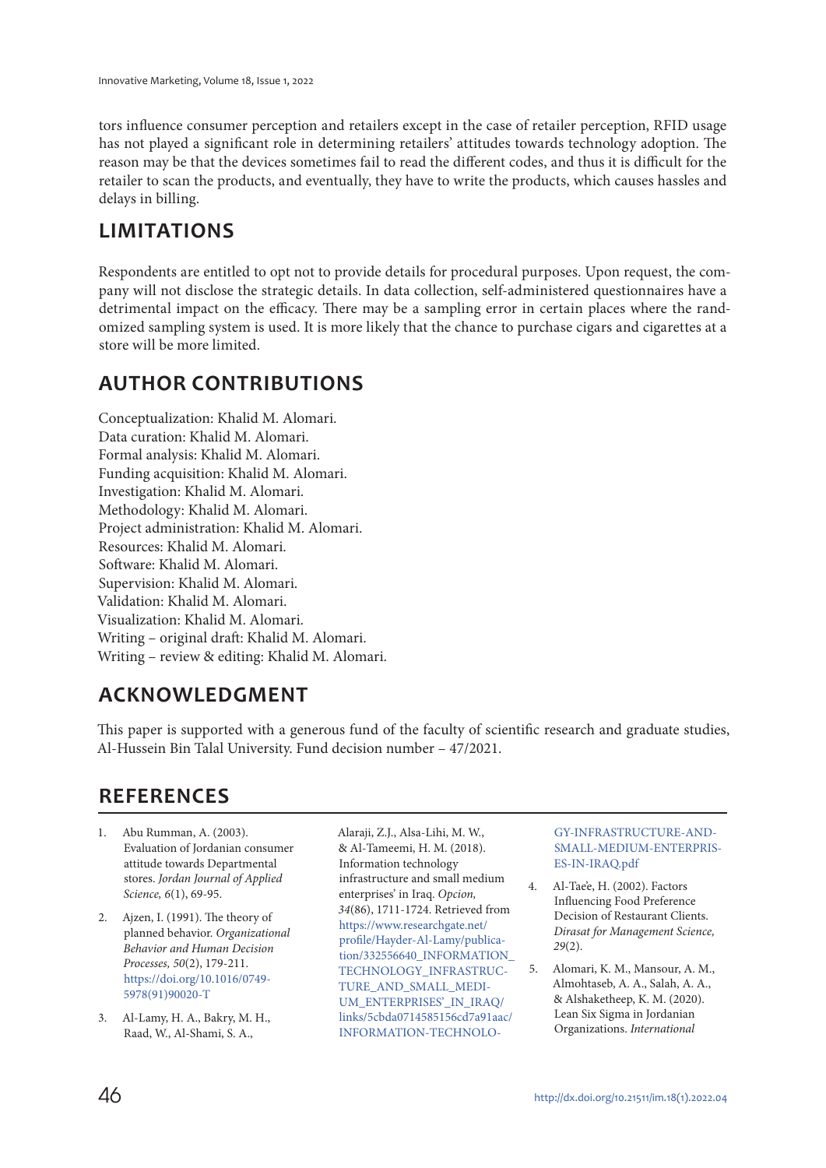tors influence consumer perception and retailers except in the case of retailer perception, RFID usage has not played a significant role in determining retailers' attitudes towards technology adoption. The reason may be that the devices sometimes fail to read the different codes, and thus it is difficult for the retailer to scan the products, and eventually, they have to write the products, which causes hassles and delays in billing.

# **LIMITATIONS**

Respondents are entitled to opt not to provide details for procedural purposes. Upon request, the company will not disclose the strategic details. In data collection, self-administered questionnaires have a detrimental impact on the efficacy. There may be a sampling error in certain places where the randomized sampling system is used. It is more likely that the chance to purchase cigars and cigarettes at a store will be more limited.

# **AUTHOR CONTRIBUTIONS**

Conceptualization: Khalid M. Alomari. Data curation: Khalid M. Alomari. Formal analysis: Khalid M. Alomari. Funding acquisition: Khalid M. Alomari. Investigation: Khalid M. Alomari. Methodology: Khalid M. Alomari. Project administration: Khalid M. Alomari. Resources: Khalid M. Alomari. Software: Khalid M. Alomari. Supervision: Khalid M. Alomari. Validation: Khalid M. Alomari. Visualization: Khalid M. Alomari. Writing – original draft: Khalid M. Alomari. Writing – review & editing: Khalid M. Alomari.

# **ACKNOWLEDGMENT**

This paper is supported with a generous fund of the faculty of scientific research and graduate studies, Al-Hussein Bin Talal University. Fund decision number – 47/2021.

# **REFERENCES**

- 1. Abu Rumman, A. (2003). Evaluation of Jordanian consumer attitude towards Departmental stores. Jordan Journal of Applied Science, 6(1), 69-95.
- 2. Ajzen, I. (1991). The theory of planned behavior. Organizational Behavior and Human Decision Processes, 50(2), 179-211. https://doi.org/10.1016/0749- 5978(91)90020-T
- 3. Al-Lamy, H. A., Bakry, M. H., Raad, W., Al-Shami, S. A.,

Alaraji, Z.J., Alsa-Lihi, M. W., & Al-Tameemi, H. M. (2018). Information technology infrastructure and small medium enterprises' in Iraq. Opcion, 34(86), 1711-1724. Retrieved from https://www.researchgate.net/ profile/Hayder-Al-Lamy/publication/332556640\_INFORMATION\_ TECHNOLOGY\_INFRASTRUC-TURE\_AND\_SMALL\_MEDI-UM\_ENTERPRISES'\_IN\_IRAO/ li nks/5cbda0714585156cd7a91aac/ INFORMATION-TECHNOLO-

GY-INFRASTRUCTURE-AND-SMALL-MEDIUM-ENTERPRIS-ES-IN-IRAQ.pdf

- 4. Al-Tae'e, H. (2002). Factors Influencing Food Preference Decision of Restaurant Clients. Dirasat for Management Science, 29(2).
- 5. Alomari, K. M., Mansour, A. M., Almohtaseb, A. A., Salah, A. A., & Alshaketheep, K. M. (2020). Lean Six Sigma in Jordanian Organizations. International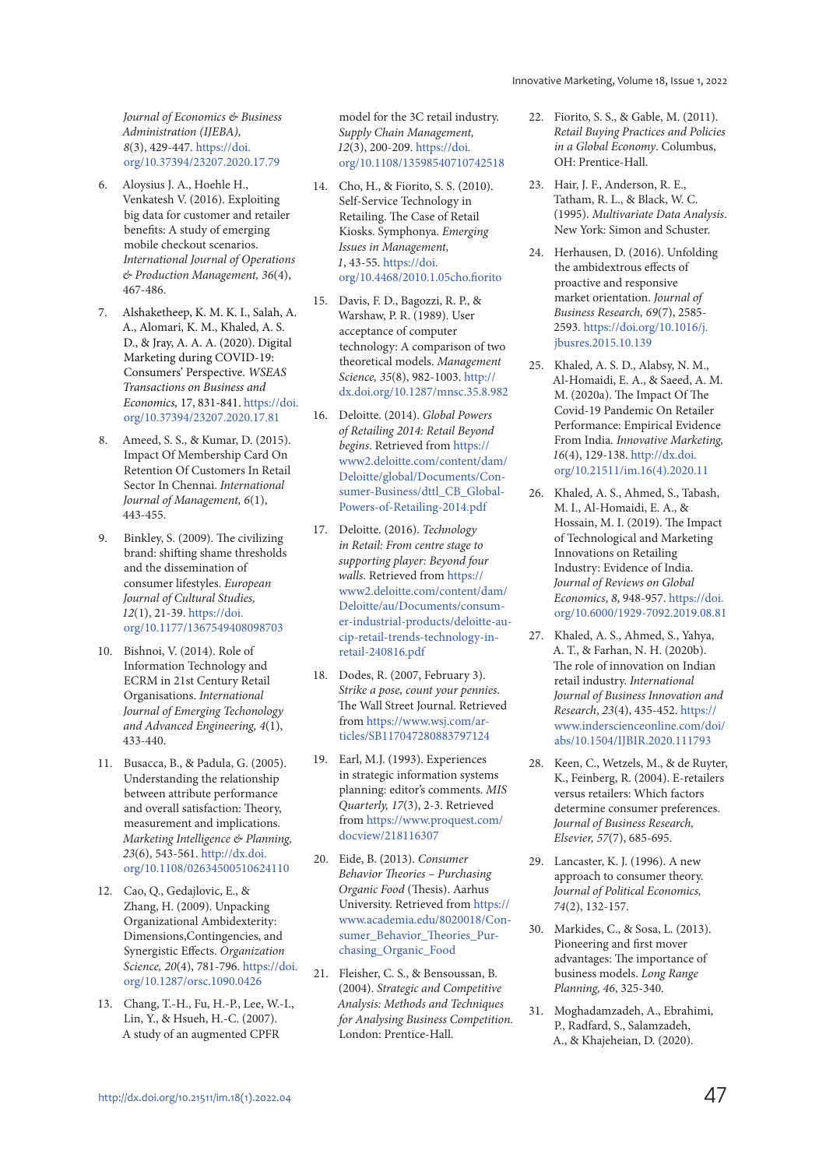Journal of Economics & Business Administration (IJEBA), 8(3), 429-447. https://doi. org/10.37394/23207.2020.17.79

- 6. Aloysius J. A., Hoehle H., Venkatesh V. (2016). Exploiting big data for customer and retailer benefits: A study of emerging mobile checkout scenarios. International Journal of Operations & Production Management, 36(4), 467-486.
- 7. Alshaketheep, K. M. K. I., Salah, A. A., Alomari, K. M., Khaled, A. S. D., & Jray, A. A. A. (2020). Digital Marketing during COVID-19: Consumers' Perspective. WSEAS Transactions on Business and Economics, 17, 831-841. https://doi. org/10.37394/23207.2020.17.81
- 8. Ameed, S. S., & Kumar, D. (2015). Impact Of Membership Card On Retention Of Customers In Retail Sector In Chennai. International Journal of Management, 6(1), 443-455.
- Binkley, S. (2009). The civilizing brand: shifting shame thresholds and the dissemination of consumer lifestyles. European Journal of Cultural Studies, 12(1), 21-39. https://doi. org/10.1177/1367549408098703
- 10. Bishnoi, V. (2014). Role of Information Technology and ECRM in 21st Century Retail Organisations. International Journal of Emerging Techonology and Advanced Engineering, 4(1), 433-440.
- 11. Busacca, B., & Padula, G. (2005). Understanding the relationship between attribute performance and overall satisfaction: Theory, measurement and implications. Marketing Intelligence & Planning, 23(6), 543-561. http://dx.doi. org/10.1108/02634500510624110
- 12. Cao, Q., Gedajlovic, E., & Zhang, H. (2009). Unpacking Organizational Ambidexterity: Dimensions,Contingencies, and Synergistic Effects. Organization Science, 20(4), 781-796. https://doi. org/10.1287/orsc.1090.0426
- 13. Chang, T.-H., Fu, H.-P., Lee, W.-I., Lin, Y., & Hsueh, H.-C. (2007). A study of an augmented CPFR

model for the 3C retail industry. Supply Chain Management, 12(3), 200-209. https://doi. org/10.1108/13598540710742518

- 14. Cho, H., & Fiorito, S. S. (2010). Self-Service Technology in Retailing. The Case of Retail Kiosks. Symphonya. Emerging Issues in Management, 1, 43-55. https://doi. org/10.4468/2010.1.05cho.fiorito
- 15. Davis, F. D., Bagozzi, R. P., & Warshaw, P. R. (1989). User acceptance of computer technology: A comparison of two theoretical models. Management Science, 35(8), 982-1003. http:// dx.doi.org/10.1287/mnsc.35.8.982
- 16. Deloitte. (2014). Global Powers of Retailing 2014: Retail Beyond begins. Retrieved from https:// www2.deloitte.com/content/dam/ Deloitte/global/Documents/Consumer-Business/dttl CB\_Global-Powers-of-Retailing-2014.pdf
- 17. Deloitte. (2016). Technology in Retail: From centre stage to supporting player: Beyond four walls. Retrieved from https:// www2.deloitte.com/content/dam/ Deloitte/au/Documents/consumer-industrial-products/deloitte-aucip-retail-trends-technology-inretail-240816.pdf
- 18. Dodes, R. (2007, February 3). Strike a pose, count your pennies. The Wall Street Journal. Retrieved from https://www.wsj.com/articles/SB117047280883797124
- 19. Earl, M.J. (1993). Experiences in strategic information systems planning: editor's comments. MIS Quarterly, 17(3), 2-3. Retrieved from https://www.proquest.com/ docview/218116307
- 20. Eide, B. (2013). Consumer Behavior Theories – Purchasing Organic Food (Thesis). Aarhus University. Retrieved from https:// www.academia.edu/8020018/Consumer\_Behavior\_Theories\_Purchasing\_Organic\_Food
- 21. Fleisher, C. S., & Bensoussan, B. (2004). Strategic and Competitive Analysis: Methods and Techniques for Analysing Business Competition. London: Prentice-Hall.
- 22. Fiorito, S. S., & Gable, M. (2011). Retail Buying Practices and Policies in a Global Economy. Columbus, OH: Prentice-Hall.
- 23. Hair, J. F., Anderson, R. E., Tatham, R. L., & Black, W. C. (1995). Multivariate Data Analysis. New York: Simon and Schuster.
- 24. Herhausen, D. (2016). Unfolding the ambidextrous effects of proactive and responsive market orientation. Journal of Business Research, 69(7), 2585- 2593. https://doi.org/10.1016/j. jbusres.2015.10.139
- 25. Khaled, A. S. D., Alabsy, N. M., Al-Homaidi, E. A., & Saeed, A. M. M. (2020a). The Impact Of The Covid-19 Pandemic On Retailer Performance: Empirical Evidence From India. Innovative Marketing, 16(4), 129-138. http://dx.doi. org/10.21511/im.16(4).2020.11
- 26. Khaled, A. S., Ahmed, S., Tabash, M. I., Al-Homaidi, E. A., & Hossain, M. I. (2019). The Impact of Technological and Marketing Innovations on Retailing Industry: Evidence of India. Journal of Reviews on Global Economics, 8, 948-957. https://doi. org/10.6000/1929-7092.2019.08.81
- 27. Khaled, A. S., Ahmed, S., Yahya, A. T., & Farhan, N. H. (2020b). The role of innovation on Indian retail industry. International Journal of Business Innovation and Research, 23(4), 435-452. https:// www.inderscienceonline.com/doi/ abs/10.1504/IJBIR.2020.111793
- 28. Keen, C., Wetzels, M., & de Ruyter, K., Feinberg, R. (2004). E-retailers versus retailers: Which factors determine consumer preferences. Journal of Business Research, Elsevier, 57(7), 685-695.
- 29. Lancaster, K. J. (1996). A new approach to consumer theory. Journal of Political Economics, 74(2), 132-157.
- 30. Markides, C., & Sosa, L. (2013). Pioneering and first mover advantages: The importance of business models. Long Range Planning, 46, 325-340.
- 31. Moghadamzadeh, A., Ebrahimi, P., Radfard, S., Salamzadeh, A., & Khajeheian, D. (2020).